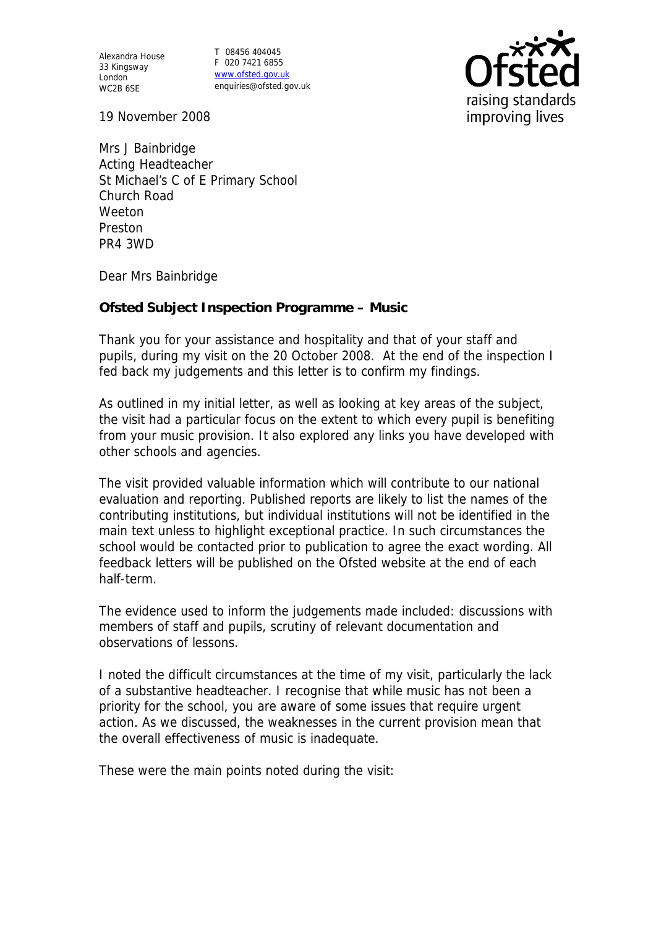Alexandra House 33 Kingsway London WC2B 6SE

T 08456 404045 F 020 7421 6855 www.ofsted.gov.uk enquiries@ofsted.gov.uk



19 November 2008

Mrs J Bainbridge Acting Headteacher St Michael's C of E Primary School Church Road Weeton Preston PR4 3WD

Dear Mrs Bainbridge

**Ofsted Subject Inspection Programme – Music**

Thank you for your assistance and hospitality and that of your staff and pupils, during my visit on the 20 October 2008. At the end of the inspection I fed back my judgements and this letter is to confirm my findings.

As outlined in my initial letter, as well as looking at key areas of the subject, the visit had a particular focus on the extent to which every pupil is benefiting from your music provision. It also explored any links you have developed with other schools and agencies.

The visit provided valuable information which will contribute to our national evaluation and reporting. Published reports are likely to list the names of the contributing institutions, but individual institutions will not be identified in the main text unless to highlight exceptional practice. In such circumstances the school would be contacted prior to publication to agree the exact wording. All feedback letters will be published on the Ofsted website at the end of each half-term.

The evidence used to inform the judgements made included: discussions with members of staff and pupils, scrutiny of relevant documentation and observations of lessons.

I noted the difficult circumstances at the time of my visit, particularly the lack of a substantive headteacher. I recognise that while music has not been a priority for the school, you are aware of some issues that require urgent action. As we discussed, the weaknesses in the current provision mean that the overall effectiveness of music is inadequate.

These were the main points noted during the visit: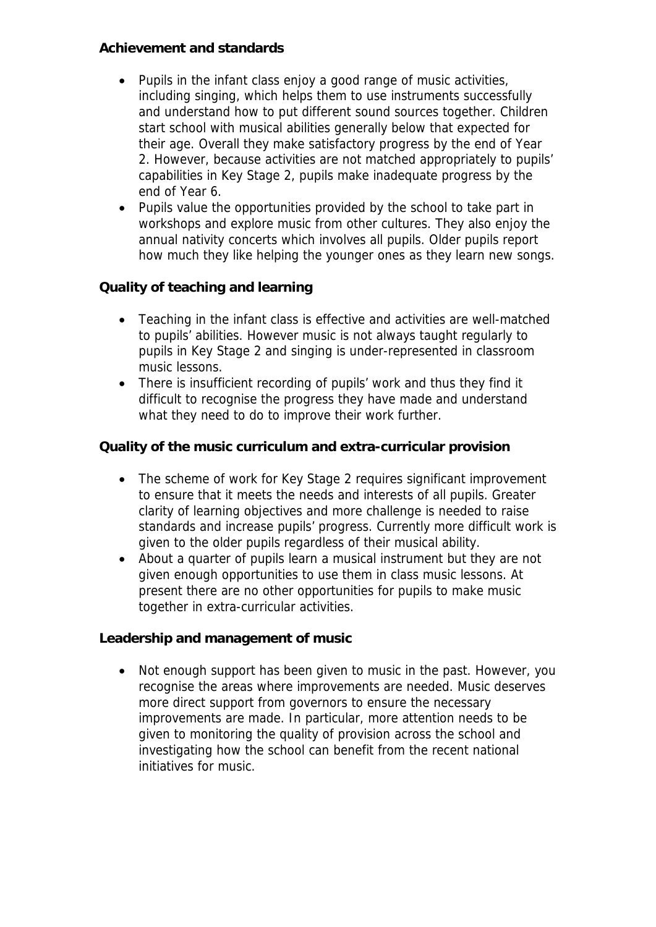## **Achievement and standards**

- Pupils in the infant class enjoy a good range of music activities, including singing, which helps them to use instruments successfully and understand how to put different sound sources together. Children start school with musical abilities generally below that expected for their age. Overall they make satisfactory progress by the end of Year 2. However, because activities are not matched appropriately to pupils' capabilities in Key Stage 2, pupils make inadequate progress by the end of Year 6.
- Pupils value the opportunities provided by the school to take part in workshops and explore music from other cultures. They also enjoy the annual nativity concerts which involves all pupils. Older pupils report how much they like helping the younger ones as they learn new songs.

**Quality of teaching and learning**

- Teaching in the infant class is effective and activities are well-matched to pupils' abilities. However music is not always taught regularly to pupils in Key Stage 2 and singing is under-represented in classroom music lessons.
- There is insufficient recording of pupils' work and thus they find it difficult to recognise the progress they have made and understand what they need to do to improve their work further.

**Quality of the music curriculum and extra-curricular provision**

- The scheme of work for Key Stage 2 requires significant improvement to ensure that it meets the needs and interests of all pupils. Greater clarity of learning objectives and more challenge is needed to raise standards and increase pupils' progress. Currently more difficult work is given to the older pupils regardless of their musical ability.
- About a quarter of pupils learn a musical instrument but they are not given enough opportunities to use them in class music lessons. At present there are no other opportunities for pupils to make music together in extra-curricular activities.

**Leadership and management of music**

 Not enough support has been given to music in the past. However, you recognise the areas where improvements are needed. Music deserves more direct support from governors to ensure the necessary improvements are made. In particular, more attention needs to be given to monitoring the quality of provision across the school and investigating how the school can benefit from the recent national initiatives for music.